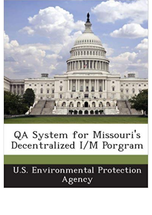

## QA System for Missouri's Decentralized I/M Porgram

## **U.S. Environmental Protection** Agency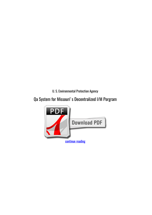*U. S. Environmental Protection Agency*

## **Qa System for Missouri's Decentralized I/M Porgram**

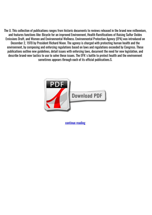The U. This collection of publications ranges from historic documents to reviews released in the brand new millennium, and features functions like: Bicycle for an improved Environment, Health Ramifications of Raising Sulfur Oxides Emissions Draft, and Women and Environmental Wellness. Environmental Protection Agency (EPA) was introduced on December 2, 1970 by President Richard Nixon. The agency is charged with protecting human health and the environment, by composing and enforcing regulations based on laws and regulations exceeded by Congress. These publications outline new guidelines, detail issues with enforcing laws, document the need for new legislation, and describe brand-new tactics to use to solve these issues. The EPA's battle to protect health and the environment sometimes appears through each of its official publications.S.



[continue reading](http://bit.ly/2Tge8Fv)